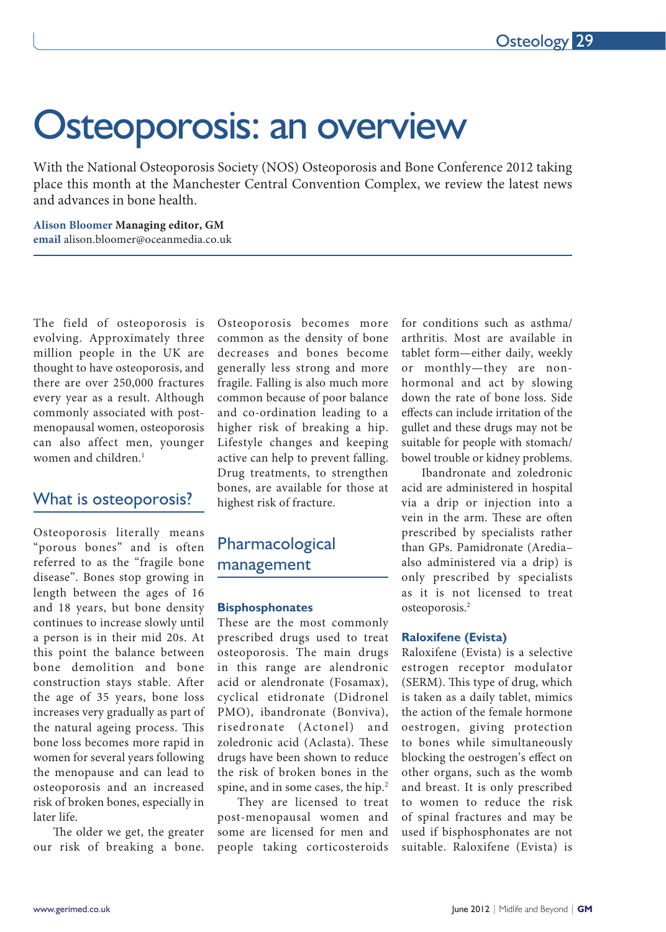# Osteoporosis: an overview

With the National Osteoporosis Society (NOS) Osteoporosis and Bone Conference 2012 taking place this month at the Manchester Central Convention Complex, we review the latest news and advances in bone health.

**Alison Bloomer Managing editor, GM email** alison.bloomer@oceanmedia.co.uk

The field of osteoporosis is evolving. Approximately three million people in the UK are thought to have osteoporosis, and there are over 250,000 fractures every year as a result. Although commonly associated with postmenopausal women, osteoporosis can also affect men, younger women and children.<sup>1</sup>

# What is osteoporosis?

Osteoporosis literally means "porous bones" and is often referred to as the "fragile bone disease". Bones stop growing in length between the ages of 16 and 18 years, but bone density continues to increase slowly until a person is in their mid 20s. At this point the balance between bone demolition and bone construction stays stable. After the age of 35 years, bone loss increases very gradually as part of the natural ageing process. This bone loss becomes more rapid in women for several years following the menopause and can lead to osteoporosis and an increased risk of broken bones, especially in later life.

The older we get, the greater our risk of breaking a bone.

Osteoporosis becomes more common as the density of bone decreases and bones become generally less strong and more fragile. Falling is also much more common because of poor balance and co-ordination leading to a higher risk of breaking a hip. Lifestyle changes and keeping active can help to prevent falling. Drug treatments, to strengthen bones, are available for those at highest risk of fracture.

# Pharmacological management

## **Bisphosphonates**

These are the most commonly prescribed drugs used to treat osteoporosis. The main drugs in this range are alendronic acid or alendronate (Fosamax), cyclical etidronate (Didronel PMO), ibandronate (Bonviva), risedronate (Actonel) and zoledronic acid (Aclasta). These drugs have been shown to reduce the risk of broken bones in the spine, and in some cases, the hip.<sup>2</sup>

They are licensed to treat post-menopausal women and some are licensed for men and people taking corticosteroids

for conditions such as asthma/ arthritis. Most are available in tablet form—either daily, weekly or monthly—they are nonhormonal and act by slowing down the rate of bone loss. Side efects can include irritation of the gullet and these drugs may not be suitable for people with stomach/ bowel trouble or kidney problems.

Ibandronate and zoledronic acid are administered in hospital via a drip or injection into a vein in the arm. These are often prescribed by specialists rather than GPs. Pamidronate (Aredia– also administered via a drip) is only prescribed by specialists as it is not licensed to treat osteoporosis.<sup>2</sup>

## **Raloxifene (Evista)**

Raloxifene (Evista) is a selective estrogen receptor modulator (SERM). This type of drug, which is taken as a daily tablet, mimics the action of the female hormone oestrogen, giving protection to bones while simultaneously blocking the oestrogen's efect on other organs, such as the womb and breast. It is only prescribed to women to reduce the risk of spinal fractures and may be used if bisphosphonates are not suitable. Raloxifene (Evista) is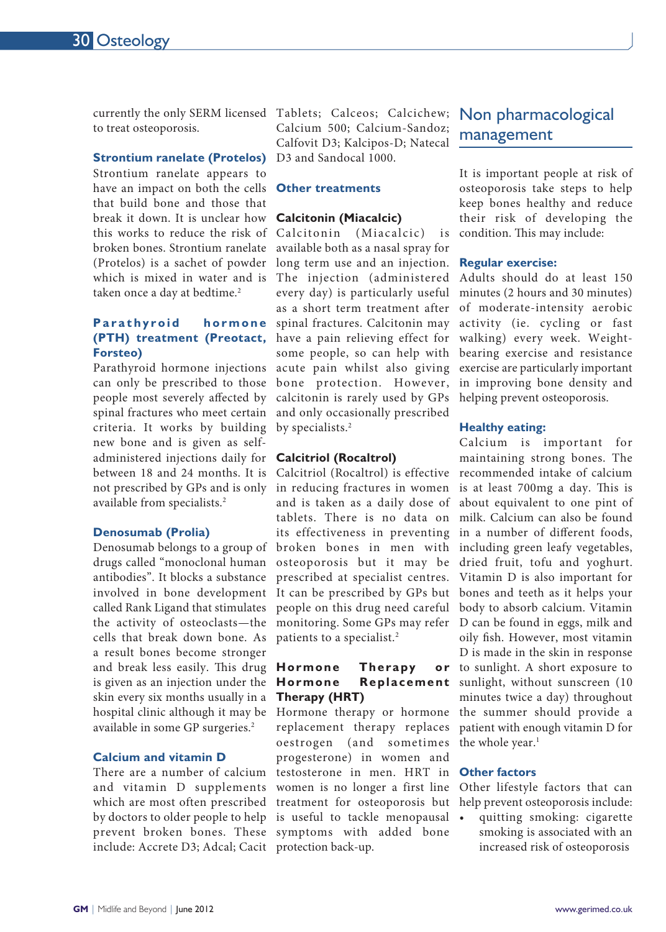currently the only SERM licensed Tablets; Calceos; Calcichew; Non pharmacological to treat osteoporosis.

## **Strontium ranelate (Protelos)**

(Protelos) is a sachet of powder long term use and an injection. Regular exercise: Strontium ranelate appears to have an impact on both the cells that build bone and those that break it down. It is unclear how **Calcitonin (Miacalcic)** this works to reduce the risk of broken bones. Strontium ranelate which is mixed in water and is taken once a day at bedtime.<sup>2</sup>

## **Parathyroid** hormone **(PTH) treatment (Preotact, Forsteo)**

Parathyroid hormone injections can only be prescribed to those people most severely afected by spinal fractures who meet certain criteria. It works by building by specialists.<sup>2</sup> new bone and is given as selfadministered injections daily for **Calcitriol (Rocaltrol)** not prescribed by GPs and is only available from specialists.<sup>2</sup>

## **Denosumab (Prolia)**

Denosumab belongs to a group of drugs called "monoclonal human antibodies". It blocks a substance involved in bone development called Rank Ligand that stimulates the activity of osteoclasts—the cells that break down bone. As a result bones become stronger and break less easily. This drug is given as an injection under the skin every six months usually in a hospital clinic although it may be available in some GP surgeries.<sup>2</sup>

## **Calcium and vitamin D**

There are a number of calcium and vitamin D supplements include: Accrete D3; Adcal; Cacit protection back-up.

Calcium 500; Calcium-Sandoz; Calfovit D3; Kalcipos-D; Natecal D3 and Sandocal 1000.

## **Other treatments**

The injection (administered Adults should do at least 150 every day) is particularly useful minutes (2 hours and 30 minutes) as a short term treatment after of moderate-intensity aerobic spinal fractures. Calcitonin may activity (ie. cycling or fast have a pain relieving effect for walking) every week. Weightsome people, so can help with bearing exercise and resistance acute pain whilst also giving exercise are particularly important bone protection. However, in improving bone density and calcitonin is rarely used by GPs helping prevent osteoporosis. (Miacalcic) is available both as a nasal spray for and only occasionally prescribed

between 18 and 24 months. It is Calcitriol (Rocaltrol) is effective recommended intake of calcium in reducing fractures in women is at least 700mg a day. This is and is taken as a daily dose of about equivalent to one pint of tablets. There is no data on milk. Calcium can also be found its effectiveness in preventing in a number of different foods, broken bones in men with including green leafy vegetables, osteoporosis but it may be dried fruit, tofu and yoghurt. prescribed at specialist centres. Vitamin D is also important for It can be prescribed by GPs but bones and teeth as it helps your people on this drug need careful body to absorb calcium. Vitamin monitoring. Some GPs may refer D can be found in eggs, milk and patients to a specialist.<sup>2</sup>

# **Hormone** Therapy **Therapy (HRT)**

oestrogen (and sometimes the whole year.<sup>1</sup> **Other factors** testosterone in men. HRT in women is no longer a first line Other lifestyle factors that can which are most often prescribed treatment for osteoporosis but helppreventosteoporosisinclude: by doctors to older people to help is useful to tackle menopausal prevent broken bones. These symptoms with added bone replacement therapy replaces progesterone) in women and

# management

It is important people at risk of osteoporosis take steps to help keep bones healthy and reduce their risk of developing the condition. This may include:

### **Healthy eating:**

Calcium is important for maintaining strong bones. The oily fsh. However, most vitamin D is made in the skin in response or to sunlight. A short exposure to Hormone Replacement sunlight, without sunscreen (10 minutes twice a day) throughout Hormone therapy or hormone the summer should provide a patient with enough vitamin D for

• quitting smoking: cigarette smoking is associated with an increased risk of osteoporosis